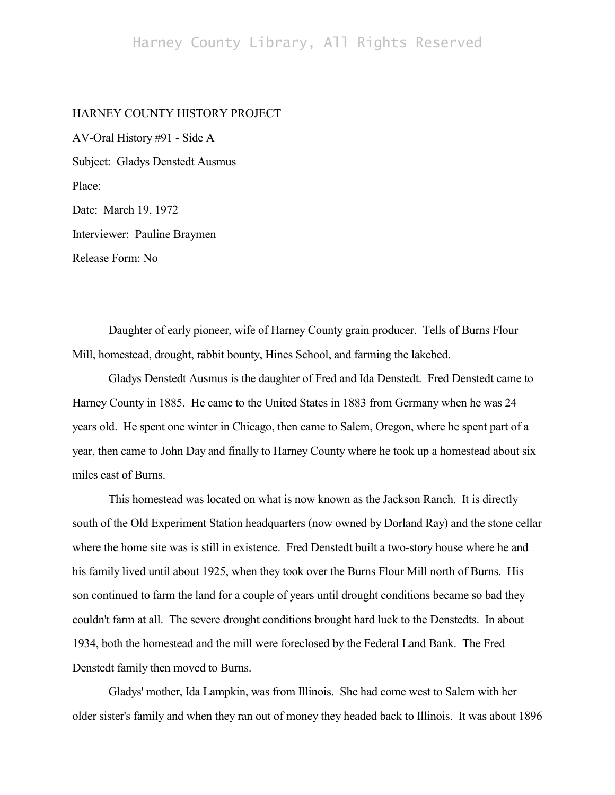## HARNEY COUNTY HISTORY PROJECT

AV-Oral History #91 - Side A Subject: Gladys Denstedt Ausmus Place: Date: March 19, 1972 Interviewer: Pauline Braymen Release Form: No

Daughter of early pioneer, wife of Harney County grain producer. Tells of Burns Flour Mill, homestead, drought, rabbit bounty, Hines School, and farming the lakebed.

Gladys Denstedt Ausmus is the daughter of Fred and Ida Denstedt. Fred Denstedt came to Harney County in 1885. He came to the United States in 1883 from Germany when he was 24 years old. He spent one winter in Chicago, then came to Salem, Oregon, where he spent part of a year, then came to John Day and finally to Harney County where he took up a homestead about six miles east of Burns.

This homestead was located on what is now known as the Jackson Ranch. It is directly south of the Old Experiment Station headquarters (now owned by Dorland Ray) and the stone cellar where the home site was is still in existence. Fred Denstedt built a two-story house where he and his family lived until about 1925, when they took over the Burns Flour Mill north of Burns. His son continued to farm the land for a couple of years until drought conditions became so bad they couldn't farm at all. The severe drought conditions brought hard luck to the Denstedts. In about 1934, both the homestead and the mill were foreclosed by the Federal Land Bank. The Fred Denstedt family then moved to Burns.

Gladys' mother, Ida Lampkin, was from Illinois. She had come west to Salem with her older sister's family and when they ran out of money they headed back to Illinois. It was about 1896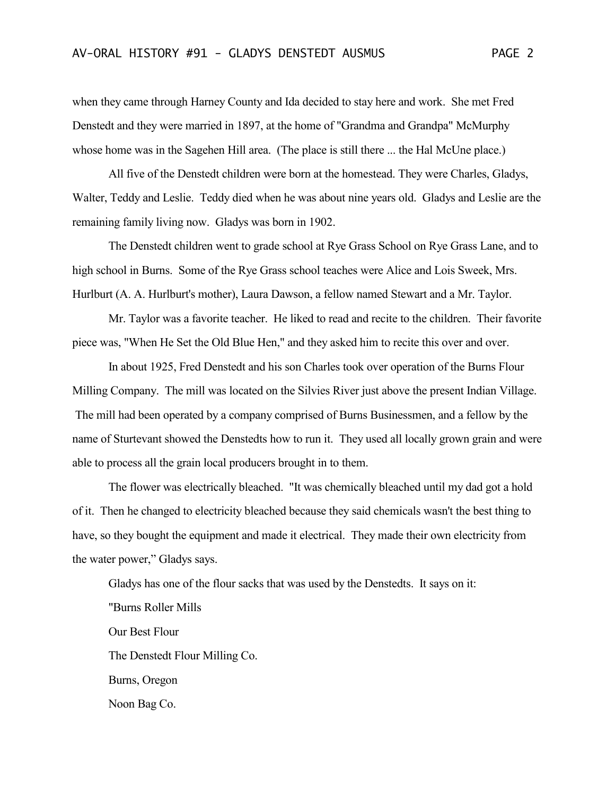when they came through Harney County and Ida decided to stay here and work. She met Fred Denstedt and they were married in 1897, at the home of "Grandma and Grandpa" McMurphy whose home was in the Sagehen Hill area. (The place is still there ... the Hal McUne place.)

All five of the Denstedt children were born at the homestead. They were Charles, Gladys, Walter, Teddy and Leslie. Teddy died when he was about nine years old. Gladys and Leslie are the remaining family living now. Gladys was born in 1902.

The Denstedt children went to grade school at Rye Grass School on Rye Grass Lane, and to high school in Burns. Some of the Rye Grass school teaches were Alice and Lois Sweek, Mrs. Hurlburt (A. A. Hurlburt's mother), Laura Dawson, a fellow named Stewart and a Mr. Taylor.

Mr. Taylor was a favorite teacher. He liked to read and recite to the children. Their favorite piece was, "When He Set the Old Blue Hen," and they asked him to recite this over and over.

In about 1925, Fred Denstedt and his son Charles took over operation of the Burns Flour Milling Company. The mill was located on the Silvies River just above the present Indian Village. The mill had been operated by a company comprised of Burns Businessmen, and a fellow by the name of Sturtevant showed the Denstedts how to run it. They used all locally grown grain and were able to process all the grain local producers brought in to them.

The flower was electrically bleached. "It was chemically bleached until my dad got a hold of it. Then he changed to electricity bleached because they said chemicals wasn't the best thing to have, so they bought the equipment and made it electrical. They made their own electricity from the water power," Gladys says.

Gladys has one of the flour sacks that was used by the Denstedts. It says on it:

"Burns Roller Mills Our Best Flour The Denstedt Flour Milling Co. Burns, Oregon Noon Bag Co.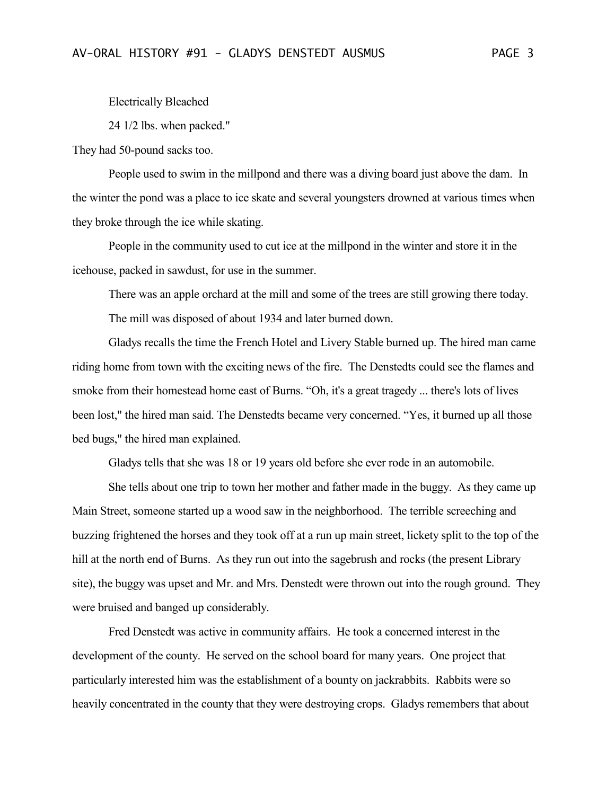Electrically Bleached

24 1/2 lbs. when packed."

They had 50-pound sacks too.

People used to swim in the millpond and there was a diving board just above the dam. In the winter the pond was a place to ice skate and several youngsters drowned at various times when they broke through the ice while skating.

People in the community used to cut ice at the millpond in the winter and store it in the icehouse, packed in sawdust, for use in the summer.

There was an apple orchard at the mill and some of the trees are still growing there today. The mill was disposed of about 1934 and later burned down.

Gladys recalls the time the French Hotel and Livery Stable burned up. The hired man came riding home from town with the exciting news of the fire. The Denstedts could see the flames and smoke from their homestead home east of Burns. "Oh, it's a great tragedy ... there's lots of lives been lost," the hired man said. The Denstedts became very concerned. "Yes, it burned up all those bed bugs," the hired man explained.

Gladys tells that she was 18 or 19 years old before she ever rode in an automobile.

She tells about one trip to town her mother and father made in the buggy. As they came up Main Street, someone started up a wood saw in the neighborhood. The terrible screeching and buzzing frightened the horses and they took off at a run up main street, lickety split to the top of the hill at the north end of Burns. As they run out into the sagebrush and rocks (the present Library site), the buggy was upset and Mr. and Mrs. Denstedt were thrown out into the rough ground. They were bruised and banged up considerably.

Fred Denstedt was active in community affairs. He took a concerned interest in the development of the county. He served on the school board for many years. One project that particularly interested him was the establishment of a bounty on jackrabbits. Rabbits were so heavily concentrated in the county that they were destroying crops. Gladys remembers that about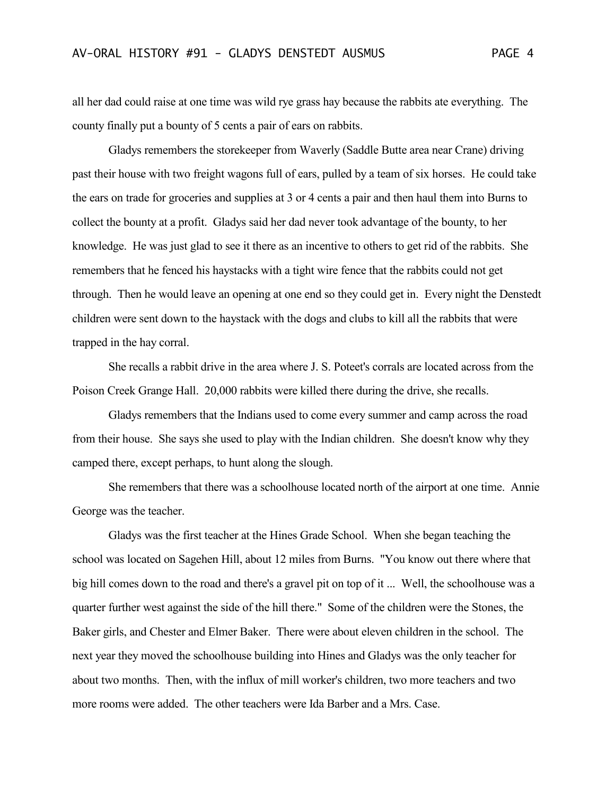all her dad could raise at one time was wild rye grass hay because the rabbits ate everything. The county finally put a bounty of 5 cents a pair of ears on rabbits.

Gladys remembers the storekeeper from Waverly (Saddle Butte area near Crane) driving past their house with two freight wagons full of ears, pulled by a team of six horses. He could take the ears on trade for groceries and supplies at 3 or 4 cents a pair and then haul them into Burns to collect the bounty at a profit. Gladys said her dad never took advantage of the bounty, to her knowledge. He was just glad to see it there as an incentive to others to get rid of the rabbits. She remembers that he fenced his haystacks with a tight wire fence that the rabbits could not get through. Then he would leave an opening at one end so they could get in. Every night the Denstedt children were sent down to the haystack with the dogs and clubs to kill all the rabbits that were trapped in the hay corral.

She recalls a rabbit drive in the area where J. S. Poteet's corrals are located across from the Poison Creek Grange Hall. 20,000 rabbits were killed there during the drive, she recalls.

Gladys remembers that the Indians used to come every summer and camp across the road from their house. She says she used to play with the Indian children. She doesn't know why they camped there, except perhaps, to hunt along the slough.

She remembers that there was a schoolhouse located north of the airport at one time. Annie George was the teacher.

Gladys was the first teacher at the Hines Grade School. When she began teaching the school was located on Sagehen Hill, about 12 miles from Burns. "You know out there where that big hill comes down to the road and there's a gravel pit on top of it ... Well, the schoolhouse was a quarter further west against the side of the hill there." Some of the children were the Stones, the Baker girls, and Chester and Elmer Baker. There were about eleven children in the school. The next year they moved the schoolhouse building into Hines and Gladys was the only teacher for about two months. Then, with the influx of mill worker's children, two more teachers and two more rooms were added. The other teachers were Ida Barber and a Mrs. Case.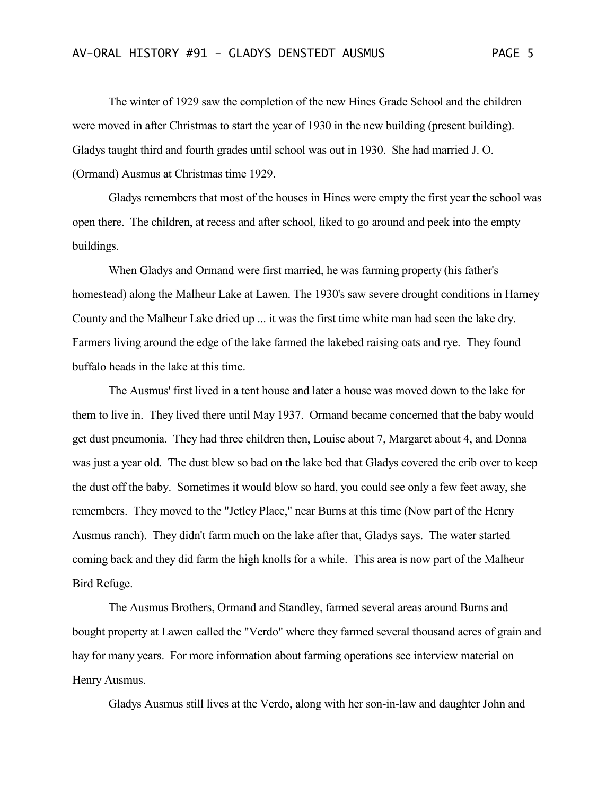The winter of 1929 saw the completion of the new Hines Grade School and the children were moved in after Christmas to start the year of 1930 in the new building (present building). Gladys taught third and fourth grades until school was out in 1930. She had married J. O. (Ormand) Ausmus at Christmas time 1929.

Gladys remembers that most of the houses in Hines were empty the first year the school was open there. The children, at recess and after school, liked to go around and peek into the empty buildings.

When Gladys and Ormand were first married, he was farming property (his father's homestead) along the Malheur Lake at Lawen. The 1930's saw severe drought conditions in Harney County and the Malheur Lake dried up ... it was the first time white man had seen the lake dry. Farmers living around the edge of the lake farmed the lakebed raising oats and rye. They found buffalo heads in the lake at this time.

The Ausmus' first lived in a tent house and later a house was moved down to the lake for them to live in. They lived there until May 1937. Ormand became concerned that the baby would get dust pneumonia. They had three children then, Louise about 7, Margaret about 4, and Donna was just a year old. The dust blew so bad on the lake bed that Gladys covered the crib over to keep the dust off the baby. Sometimes it would blow so hard, you could see only a few feet away, she remembers. They moved to the "Jetley Place," near Burns at this time (Now part of the Henry Ausmus ranch). They didn't farm much on the lake after that, Gladys says. The water started coming back and they did farm the high knolls for a while. This area is now part of the Malheur Bird Refuge.

The Ausmus Brothers, Ormand and Standley, farmed several areas around Burns and bought property at Lawen called the "Verdo" where they farmed several thousand acres of grain and hay for many years. For more information about farming operations see interview material on Henry Ausmus.

Gladys Ausmus still lives at the Verdo, along with her son-in-law and daughter John and